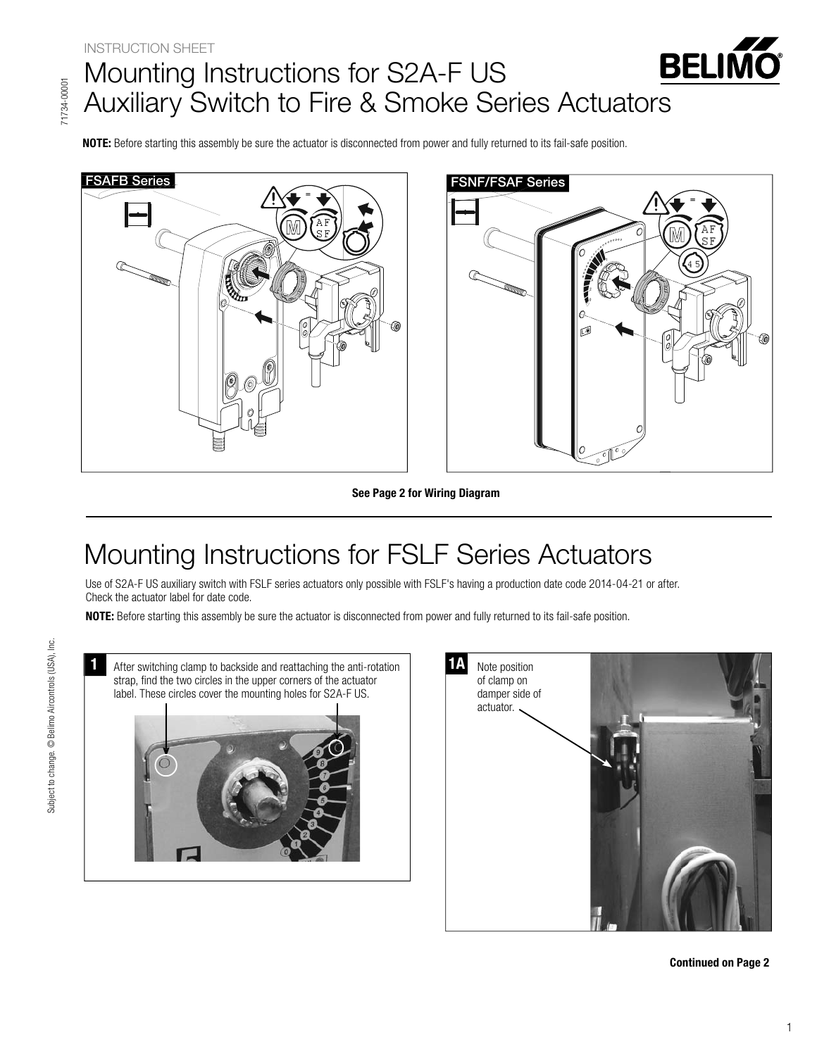## **BELIN**  $\blacksquare$ Auxiliary Switch to Fire & Smoke Se  $\mathcal{A}$  and  $\mathcal{A}$  such that the first  $\mathcal{A}$  such Series actuations and  $\mathcal{A}$

**NOTE:** Before starting this assembly be sure the actuator is disconnected from power and fully returned to its fail-safe position.





**See Page 2 for Wiring Diagram**

Use of S2A-F US auxiliary switch with FSLF series actuators only possible with FSLF's having a production date code 2014-04-21 or after. Check the actuator label for date code.

**NOTE:** Before starting this assembly be sure the actuator is disconnected from power and fully returned to its fail-safe position.

After switching clamp to backside and reattaching the anti-rotation strap, find the two circles in the upper corners of the actuator label. These circles cover the mounting holes for S2A-F US. **1**



**Continued on Page 2**